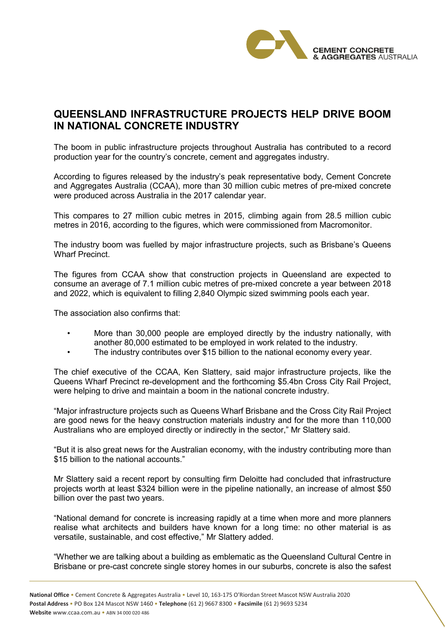

## **QUEENSLAND INFRASTRUCTURE PROJECTS HELP DRIVE BOOM IN NATIONAL CONCRETE INDUSTRY**

The boom in public infrastructure projects throughout Australia has contributed to a record production year for the country's concrete, cement and aggregates industry.

According to figures released by the industry's peak representative body, Cement Concrete and Aggregates Australia (CCAA), more than 30 million cubic metres of pre-mixed concrete were produced across Australia in the 2017 calendar year.

This compares to 27 million cubic metres in 2015, climbing again from 28.5 million cubic metres in 2016, according to the figures, which were commissioned from Macromonitor.

The industry boom was fuelled by major infrastructure projects, such as Brisbane's Queens Wharf Precinct.

The figures from CCAA show that construction projects in Queensland are expected to consume an average of 7.1 million cubic metres of pre-mixed concrete a year between 2018 and 2022, which is equivalent to filling 2,840 Olympic sized swimming pools each year.

The association also confirms that:

- More than 30,000 people are employed directly by the industry nationally, with another 80,000 estimated to be employed in work related to the industry.
- The industry contributes over \$15 billion to the national economy every year.

The chief executive of the CCAA, Ken Slattery, said major infrastructure projects, like the Queens Wharf Precinct re-development and the forthcoming \$5.4bn Cross City Rail Project, were helping to drive and maintain a boom in the national concrete industry.

"Major infrastructure projects such as Queens Wharf Brisbane and the Cross City Rail Project are good news for the heavy construction materials industry and for the more than 110,000 Australians who are employed directly or indirectly in the sector," Mr Slattery said.

"But it is also great news for the Australian economy, with the industry contributing more than \$15 billion to the national accounts."

Mr Slattery said a recent report by consulting firm Deloitte had concluded that infrastructure projects worth at least \$324 billion were in the pipeline nationally, an increase of almost \$50 billion over the past two years.

"National demand for concrete is increasing rapidly at a time when more and more planners realise what architects and builders have known for a long time: no other material is as versatile, sustainable, and cost effective," Mr Slattery added.

"Whether we are talking about a building as emblematic as the Queensland Cultural Centre in Brisbane or pre-cast concrete single storey homes in our suburbs, concrete is also the safest